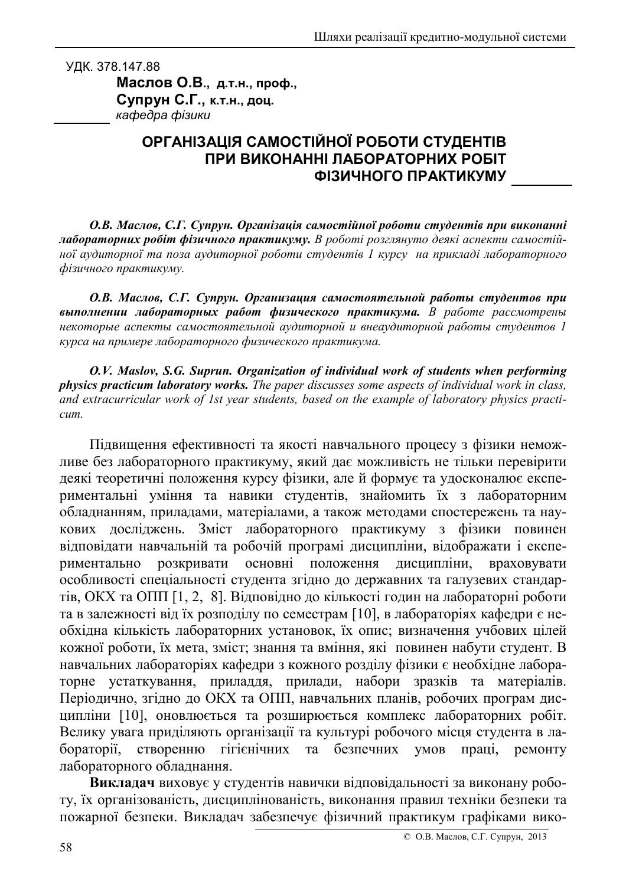УДК. 378.147.88 Маслов О.В., д.т.н., проф., Супрун С.Г., к.т.н., доц. кафедра фізики

## ОРГАНІЗАЦІЯ САМОСТІЙНОЇ РОБОТИ СТУДЕНТІВ ПРИ ВИКОНАННІ ЛАБОРАТОРНИХ РОБІТ ФІЗИЧНОГО ПРАКТИКУМУ

О.В. Маслов, С.Г. Супрун. Організація самостійної роботи студентів при виконанні лабораторних робіт фізичного практикуму. В роботі розглянуто деякі аспекти самостійної аудиторної та поза аудиторної роботи студентів 1 курсу на прикладі лабораторного фізичного практикуму.

О.В. Маслов, С.Г. Супрун. Организация самостоятельной работы студентов при выполнении лабораторных работ физического практикума. В работе рассмотрены некоторые аспекты самостоятельной аудиторной и внеаудиторной работы студентов 1 курса на примере лабораторного физического практикума.

O.V. Maslov, S.G. Suprun. Organization of individual work of students when performing **physics practicum laboratory works.** The paper discusses some aspects of individual work in class, and extracurricular work of 1st year students, based on the example of laboratory physics practi $cum$ .

Підвищення ефективності та якості навчального процесу з фізики неможливе без лабораторного практикуму, який дає можливість не тільки перевірити деякі теоретичні положення курсу фізики, але й формує та удосконалює експериментальні уміння та навики студентів, знайомить їх з лабораторним обладнанням, приладами, матеріалами, а також методами спостережень та наукових досліджень. Зміст лабораторного практикуму з фізики повинен відповідати навчальній та робочій програмі дисципліни, відображати і експеосновні риментально розкривати положення дисципліни, враховувати особливості спеціальності студента згідно до державних та галузевих стандартів, ОКХ та ОПП [1, 2, 8]. Відповідно до кількості годин на лабораторні роботи та в залежності від їх розподілу по семестрам [10], в лабораторіях кафедри є необхідна кількість лабораторних установок, їх опис; визначення учбових цілей кожної роботи, їх мета, зміст; знання та вміння, які повинен набути студент. В навчальних лабораторіях кафедри з кожного розділу фізики є необхідне лабораторне устаткування, приладдя, прилади, набори зразків та матеріалів. Періодично, згідно до ОКХ та ОПП, навчальних планів, робочих програм дисципліни [10], оновлюється та розширюється комплекс лабораторних робіт. Велику увага приділяють організації та культурі робочого місця студента в лабораторії, створенню гігієнічних та безпечних умов праці, ремонту лабораторного обладнання.

Викладач виховує у студентів навички відповідальності за виконану роботу, їх організованість, дисциплінованість, виконання правил техніки безпеки та пожарної безпеки. Викладач забезпечує фізичний практикум графіками вико-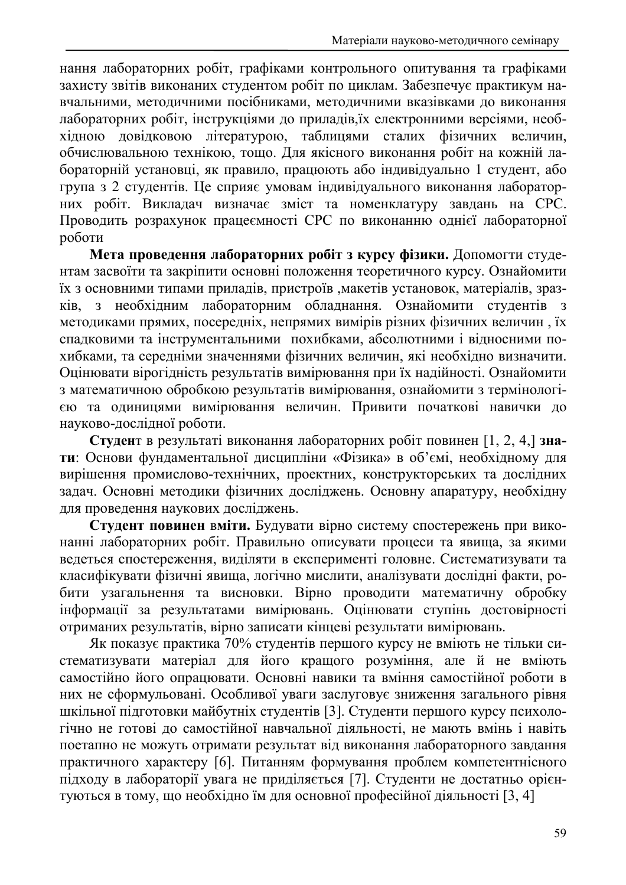нання лабораторних робіт, графіками контрольного опитування та графіками захисту звітів виконаних студентом робіт по циклам. Забезпечує практикум навчальними, методичними посібниками, методичними вказівками до виконання лабораторних робіт, інструкціями до приладів, їх електронними версіями, необхідною довідковою літературою, таблицями сталих фізичних величин, обчислювальною технікою, тощо. Для якісного виконання робіт на кожній лабораторній установці, як правило, працюють або індивідуально 1 студент, або група з 2 студентів. Це сприяє умовам індивідуального виконання лабораторних робіт. Викладач визначає зміст та номенклатуру завдань на СРС. Проводить розрахунок працесмності СРС по виконанню однієї лабораторної роботи

Мета проведення лабораторних робіт з курсу фізики. Допомогти студентам засвоїти та закріпити основні положення теоретичного курсу. Ознайомити їх з основними типами приладів, пристроїв , макетів установок, матеріалів, зразз необхідним лабораторним обладнання. Ознайомити студентів з  $\overline{KB}$ . методиками прямих, посередніх, непрямих вимірів різних фізичних величин, їх спадковими та інструментальними похибками, абсолютними і відносними похибками, та середніми значеннями фізичних величин, які необхідно визначити. Оцінювати вірогідність результатів вимірювання при їх надійності. Ознайомити з математичною обробкою результатів вимірювання, ознайомити з термінологією та одиницями вимірювання величин. Привити початкові навички до науково-дослідної роботи.

Студент в результаті виконання лабораторних робіт повинен [1, 2, 4,] знати: Основи фундаментальної дисципліни «Фізика» в об'ємі, необхідному для вирішення промислово-технічних, проектних, конструкторських та дослідних задач. Основні методики фізичних досліджень. Основну апаратуру, необхідну для проведення наукових досліджень.

Студент повинен вміти. Будувати вірно систему спостережень при виконанні лабораторних робіт. Правильно описувати процеси та явища, за якими ведеться спостереження, виділяти в експерименті головне. Систематизувати та класифікувати фізичні явища, логічно мислити, аналізувати дослідні факти, робити узагальнення та висновки. Вірно проводити математичну обробку інформації за результатами вимірювань. Оцінювати ступінь достовірності отриманих результатів, вірно записати кінцеві результати вимірювань.

Як показує практика 70% студентів першого курсу не вміють не тільки систематизувати матеріал для його кращого розуміння, але й не вміють самостійно його опрацювати. Основні навики та вміння самостійної роботи в них не сформульовані. Особливої уваги заслуговує зниження загального рівня шкільної підготовки майбутніх студентів [3]. Студенти першого курсу психологічно не готові до самостійної навчальної діяльності, не мають вмінь і навіть поетапно не можуть отримати результат від виконання лабораторного завдання практичного характеру [6]. Питанням формування проблем компетентнісного підходу в лабораторії увага не приділяється [7]. Студенти не достатньо орієнтуються в тому, що необхідно їм для основної професійної діяльності [3, 4]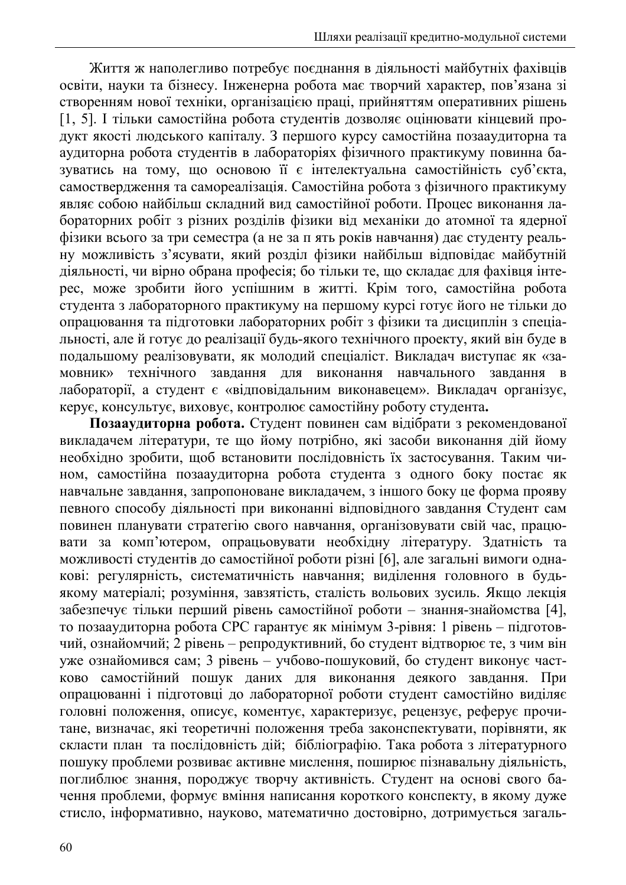Життя ж наполегливо потребує поєднання в діяльності майбутніх фахівців освіти, науки та бізнесу. Інженерна робота має творчий характер, пов'язана зі створенням нової техніки, організацією праці, прийняттям оперативних рішень [1, 5]. І тільки самостійна робота студентів дозволяє оцінювати кінцевий продукт якості людського капіталу. З першого курсу самостійна позааудиторна та аудиторна робота студентів в лабораторіях фізичного практикуму повинна базуватись на тому, що основою її є інтелектуальна самостійність суб'єкта, самоствердження та самореалізація. Самостійна робота з фізичного практикуму являє собою найбільш складний вид самостійної роботи. Процес виконання лабораторних робіт з різних розділів фізики від механіки до атомної та ядерної фізики всього за три семестра (а не за п ять років навчання) дає студенту реальну можливість з'ясувати, який розділ фізики найбільш відповідає майбутній діяльності, чи вірно обрана професія; бо тільки те, що складає для фахівця інтерес, може зробити його успішним в житті. Крім того, самостійна робота студента з лабораторного практикуму на першому курсі готує його не тільки до опрацювання та підготовки лабораторних робіт з фізики та дисциплін з спеціальності, але й готує до реалізації будь-якого технічного проекту, який він буде в подальшому реалізовувати, як молодий спеціаліст. Викладач виступає як «затехнічного завдання для виконання навчального завдання в **МОВНИК»** лабораторії, а студент є «відповідальним виконавецем». Викладач організує, керує, консультує, виховує, контролює самостійну роботу студента.

Позааудиторна робота. Студент повинен сам відібрати з рекомендованої викладачем літератури, те що йому потрібно, які засоби виконання дій йому необхідно зробити, щоб встановити послідовність їх застосування. Таким чином, самостійна позааудиторна робота студента з одного боку постає як навчальне завлання, запропоноване виклалачем, з іншого боку це форма прояву певного способу діяльності при виконанні відповідного завдання Студент сам повинен планувати стратегію свого навчання, організовувати свій час, працювати за комп'ютером, опрацьовувати необхідну літературу. Здатність та можливості студентів до самостійної роботи різні [6], але загальні вимоги однакові: регулярність, систематичність навчання; виділення головного в будьякому матеріалі; розуміння, завзятість, сталість вольових зусиль. Якщо лекція забезпечує тільки перший рівень самостійної роботи - знання-знайомства [4], то позааудиторна робота СРС гарантує як мінімум 3-рівня: 1 рівень – підготовчий, ознайомчий; 2 рівень - репродуктивний, бо студент відтворює те, з чим він уже ознайомився сам; 3 рівень - учбово-пошуковий, бо студент виконує частково самостійний пошук даних для виконання деякого завдання. При опрацюванні і підготовці до лабораторної роботи студент самостійно виділяє головні положення, описує, коментує, характеризує, рецензує, реферує прочитане, визначає, які теоретичні положення треба законспектувати, порівняти, як скласти план та послідовність дій; бібліографію. Така робота з літературного пошуку проблеми розвиває активне мислення, поширює пізнавальну діяльність, поглиблює знання, породжує творчу активність. Студент на основі свого бачення проблеми, формує вміння написання короткого конспекту, в якому дуже стисло, інформативно, науково, математично достовірно, дотримується загаль-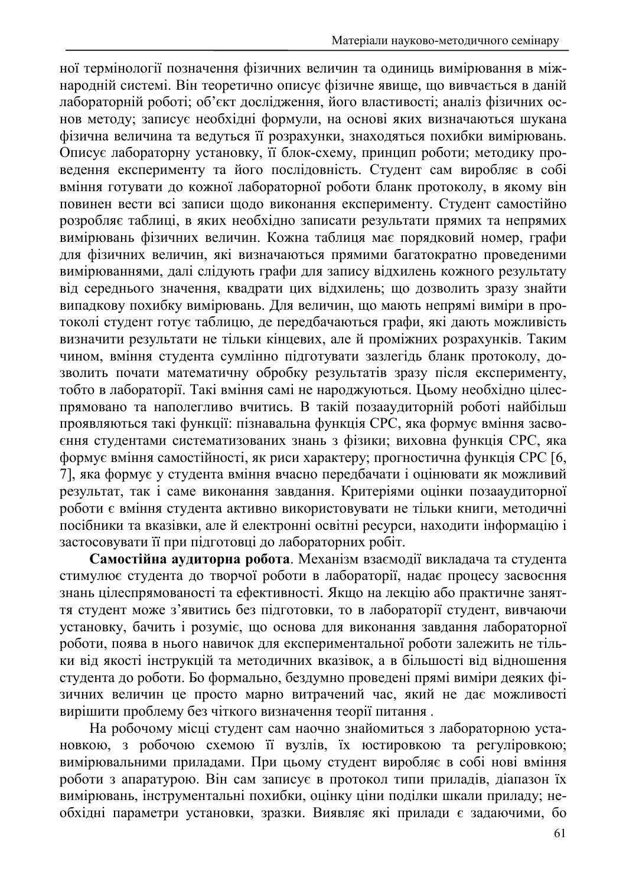ної термінології позначення фізичних величин та одиниць вимірювання в міжнародній системі. Він теоретично описує фізичне явище, що вивчається в даній лабораторній роботі; об'єкт дослідження, його властивості; аналіз фізичних основ методу; записує необхідні формули, на основі яких визначаються шукана фізична величина та ведуться її розрахунки, знаходяться похибки вимірювань. Описує лабораторну установку, її блок-схему, принцип роботи; методику проведення експерименту та його послідовність. Студент сам виробляє в собі вміння готувати до кожної лабораторної роботи бланк протоколу, в якому він повинен вести всі записи щодо виконання експерименту. Студент самостійно розробляє таблиці, в яких необхідно записати результати прямих та непрямих вимірювань фізичних величин. Кожна таблиця має порядковий номер, графи для фізичних величин, які визначаються прямими багатократно проведеними вимірюваннями, далі слідують графи для запису відхилень кожного результату від середнього значення, квадрати цих відхилень; що дозволить зразу знайти випадкову похибку вимірювань. Для величин, що мають непрямі виміри в протоколі студент готує таблицю, де передбачаються графи, які дають можливість визначити результати не тільки кінцевих, але й проміжних розрахунків. Таким чином, вміння студента сумлінно підготувати зазлегідь бланк протоколу, дозволить почати математичну обробку результатів зразу після експерименту, тобто в лабораторії. Такі вміння самі не народжуються. Цьому необхідно цілеспрямовано та наполегливо вчитись. В такій позааудиторній роботі найбільш проявляються такі функції: пізнавальна функція СРС, яка формує вміння засвоєння студентами систематизованих знань з фізики; виховна функція СРС, яка формує вміння самостійності, як риси характеру; прогностична функція СРС [6, 7], яка формує у студента вміння вчасно передбачати і оцінювати як можливий результат, так і саме виконання завдання. Критеріями оцінки позааудиторної роботи є вміння студента активно використовувати не тільки книги, методичні посібники та вказівки, але й електронні освітні ресурси, находити інформацію і застосовувати її при підготовці до лабораторних робіт.

Самостійна аудиторна робота. Механізм взаємодії викладача та студента стимулює студента до творчої роботи в лабораторії, надає процесу засвоєння знань цілеспрямованості та ефективності. Якщо на лекцію або практичне заняття студент може з'явитись без підготовки, то в лабораторії студент, вивчаючи установку, бачить і розуміє, що основа для виконання завдання лабораторної роботи, поява в нього навичок для експериментальної роботи залежить не тільки від якості інструкцій та методичних вказівок, а в більшості від відношення студента до роботи. Бо формально, бездумно проведені прямі виміри деяких фізичних величин це просто марно витрачений час, який не дає можливості вирішити проблему без чіткого визначення теорії питання.

На робочому місці студент сам наочно знайомиться з лабораторною установкою, з робочою схемою її вузлів, їх юстировкою та регуліровкою; вимірювальними приладами. При цьому студент виробляє в собі нові вміння роботи з апаратурою. Він сам записує в протокол типи приладів, діапазон їх вимірювань, інструментальні похибки, оцінку ціни поділки шкали приладу; необхідні параметри установки, зразки. Виявляє які прилади є задаючими, бо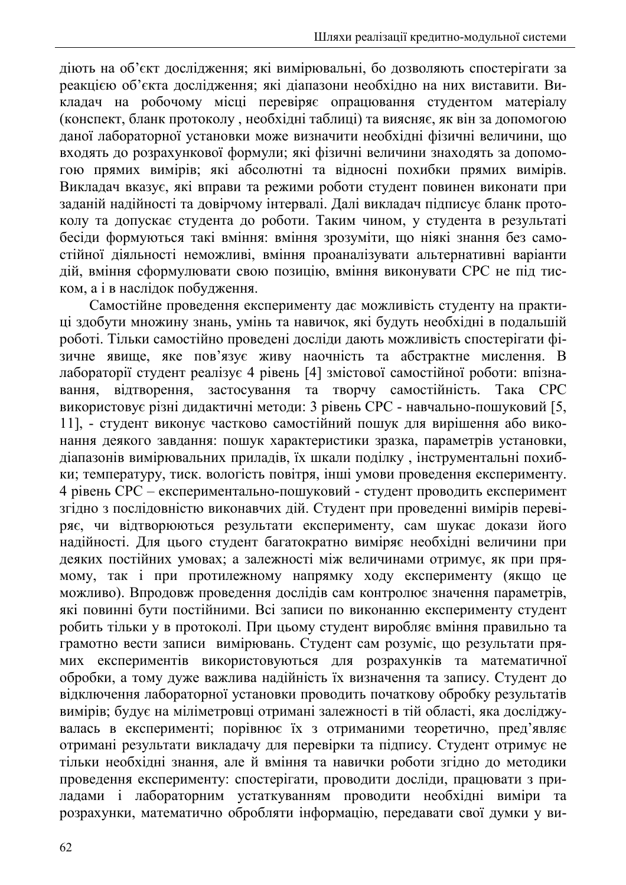діють на об'єкт дослідження; які вимірювальні, бо дозволяють спостерігати за реакцією об'єкта дослідження; які діапазони необхідно на них виставити. Викладач на робочому місці перевіряє опрацювання студентом матеріалу (конспект, бланк протоколу, необхідні таблиці) та виясняє, як він за допомогою даної лабораторної установки може визначити необхідні фізичні величини, що входять до розрахункової формули; які фізичні величини знаходять за допомогою прямих вимірів: які абсолютні та вілносні похибки прямих вимірів. Викладач вказує, які вправи та режими роботи студент повинен виконати при заданій надійності та довірчому інтервалі. Далі викладач підписує бланк протоколу та допускає студента до роботи. Таким чином, у студента в результаті бесіди формуються такі вміння: вміння зрозуміти, що ніякі знання без самостійної діяльності неможливі, вміння проаналізувати альтернативні варіанти дій, вміння сформулювати свою позицію, вміння виконувати СРС не під тиском, а і в наслідок побудження.

Самостійне проведення експерименту дає можливість студенту на практиці здобути множину знань, умінь та навичок, які будуть необхідні в подальшій роботі. Тільки самостійно проведені досліди дають можливість спостерігати фізичне явище, яке пов'язує живу наочність та абстрактне мислення. В лабораторії студент реалізує 4 рівень [4] змістової самостійної роботи: впізнавідтворення, застосування та творчу самостійність. Така СРС вання. використовує різні дидактичні методи: 3 рівень СРС - навчально-пошуковий [5, 11], - студент виконує частково самостійний пошук для вирішення або виконання деякого завдання: пошук характеристики зразка, параметрів установки, діапазонів вимірювальних приладів, їх шкали поділку, інструментальні похибки; температуру, тиск. вологість повітря, інші умови проведення експерименту. 4 рівень СРС - експериментально-пошуковий - студент проводить експеримент згідно з послідовністю виконавчих дій. Студент при проведенні вимірів перевіряє, чи відтворюються результати експерименту, сам шукає докази його надійності. Для цього студент багатократно виміряє необхідні величини при деяких постійних умовах; а залежності між величинами отримує, як при прямому, так і при протилежному напрямку ходу експерименту (якщо це можливо). Впродовж проведення дослідів сам контролює значення параметрів, які повинні бути постійними. Всі записи по виконанню експерименту студент робить тільки у в протоколі. При цьому студент виробляє вміння правильно та грамотно вести записи вимірювань. Студент сам розуміє, що результати прямих експериментів використовуються для розрахунків та математичної обробки, а тому дуже важлива надійність їх визначення та запису. Студент до відключення лабораторної установки проводить початкову обробку результатів вимірів; будує на міліметровці отримані залежності в тій області, яка досліджувалась в експерименті; порівнює їх з отриманими теоретично, пред'являє отримані результати викладачу для перевірки та підпису. Студент отримує не тільки необхідні знання, але й вміння та навички роботи згідно до методики проведення експерименту: спостерігати, проводити досліди, працювати з приладами і лабораторним устаткуванням проводити необхідні виміри та розрахунки, математично обробляти інформацію, передавати свої думки у ви